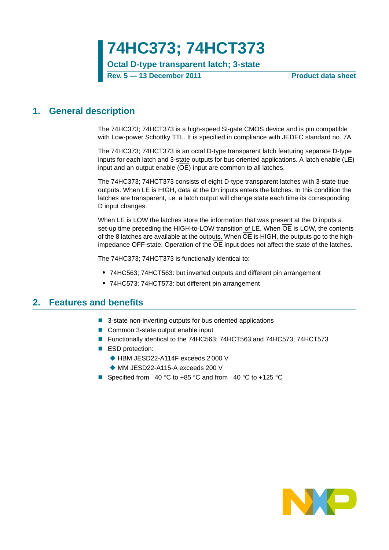**74HC373; 74HCT373**

**Octal D-type transparent latch; 3-state**

**Rev. 5 — 13 December 2011 Product data sheet**

### <span id="page-0-0"></span>**1. General description**

The 74HC373; 74HCT373 is a high-speed Si-gate CMOS device and is pin compatible with Low-power Schottky TTL. It is specified in compliance with JEDEC standard no. 7A.

The 74HC373; 74HCT373 is an octal D-type transparent latch featuring separate D-type inputs for each latch and 3-state outputs for bus oriented applications. A latch enable (LE) input and an output enable (OE) input are common to all latches.

The 74HC373; 74HCT373 consists of eight D-type transparent latches with 3-state true outputs. When LE is HIGH, data at the Dn inputs enters the latches. In this condition the latches are transparent, i.e. a latch output will change state each time its corresponding D input changes.

When LE is LOW the latches store the information that was present at the D inputs a set-up time preceding the HIGH-to-LOW transition of LE. When  $\overline{OE}$  is LOW, the contents of the 8 latches are available at the outputs. When OE is HIGH, the outputs go to the highimpedance OFF-state. Operation of the OE input does not affect the state of the latches.

The 74HC373; 74HCT373 is functionally identical to:

- **•** 74HC563; 74HCT563: but inverted outputs and different pin arrangement
- **•** 74HC573; 74HCT573: but different pin arrangement

### <span id="page-0-1"></span>**2. Features and benefits**

- 3-state non-inverting outputs for bus oriented applications
- Common 3-state output enable input
- Functionally identical to the 74HC563; 74HCT563 and 74HC573; 74HCT573
- ESD protection:
	- ◆ HBM JESD22-A114F exceeds 2 000 V
	- ◆ MM JESD22-A115-A exceeds 200 V
- Specified from  $-40$  °C to  $+85$  °C and from  $-40$  °C to  $+125$  °C

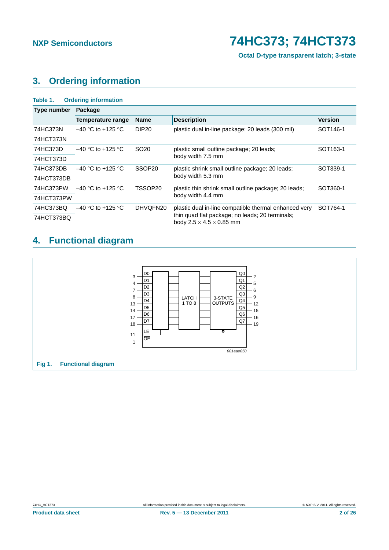**Octal D-type transparent latch; 3-state**

### <span id="page-1-0"></span>**3. Ordering information**

| Table 1.           | <b>Ordering information</b> |                    |                                                                                         |                      |  |  |  |  |  |
|--------------------|-----------------------------|--------------------|-----------------------------------------------------------------------------------------|----------------------|--|--|--|--|--|
| <b>Type number</b> | Package                     |                    |                                                                                         |                      |  |  |  |  |  |
|                    | Temperature range           | <b>Name</b>        | <b>Description</b>                                                                      | <b>Version</b>       |  |  |  |  |  |
| 74HC373N           | $-40$ °C to +125 °C         | DIP <sub>20</sub>  | plastic dual in-line package; 20 leads (300 mil)                                        | SOT <sub>146-1</sub> |  |  |  |  |  |
| 74HCT373N          |                             |                    |                                                                                         |                      |  |  |  |  |  |
| 74HC373D           | $-40$ °C to +125 °C         | SO <sub>20</sub>   | plastic small outline package; 20 leads;                                                | SOT <sub>163-1</sub> |  |  |  |  |  |
| 74HCT373D          |                             |                    | body width 7.5 mm                                                                       |                      |  |  |  |  |  |
| 74HC373DB          | $-40$ °C to +125 °C         | SSOP <sub>20</sub> | plastic shrink small outline package; 20 leads;                                         | SOT339-1             |  |  |  |  |  |
| 74HCT373DB         |                             |                    | body width 5.3 mm                                                                       |                      |  |  |  |  |  |
| 74HC373PW          | $-40$ °C to +125 °C         | TSSOP20            | plastic thin shrink small outline package; 20 leads;                                    | SOT360-1             |  |  |  |  |  |
| 74HCT373PW         |                             |                    | body width 4.4 mm                                                                       |                      |  |  |  |  |  |
| 74HC373BQ          | $-40$ °C to +125 °C         | DHVQFN20           | plastic dual in-line compatible thermal enhanced very                                   | SOT764-1             |  |  |  |  |  |
| 74HCT373BQ         |                             |                    | thin quad flat package; no leads; 20 terminals;<br>body $2.5 \times 4.5 \times 0.85$ mm |                      |  |  |  |  |  |

### <span id="page-1-1"></span>**4. Functional diagram**

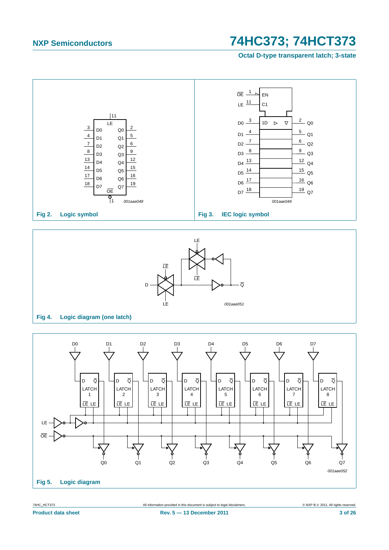**Octal D-type transparent latch; 3-state**





#### **Fig 4. Logic diagram (one latch)**

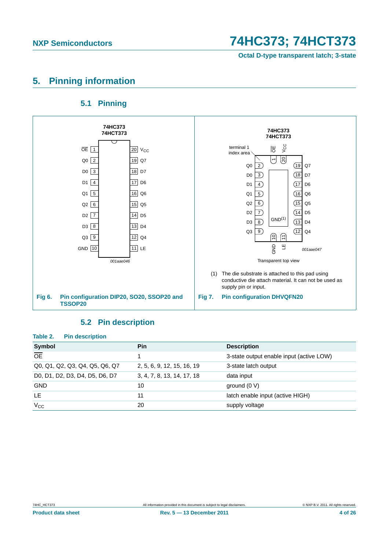**Octal D-type transparent latch; 3-state**

### <span id="page-3-0"></span>**5. Pinning information**

### **5.1 Pinning**

<span id="page-3-1"></span>

### **5.2 Pin description**

<span id="page-3-2"></span>

| Table 2.<br><b>Pin description</b> |                            |                                          |
|------------------------------------|----------------------------|------------------------------------------|
| Symbol                             | <b>Pin</b>                 | <b>Description</b>                       |
| $\overline{OE}$                    |                            | 3-state output enable input (active LOW) |
| Q0, Q1, Q2, Q3, Q4, Q5, Q6, Q7     | 2, 5, 6, 9, 12, 15, 16, 19 | 3-state latch output                     |
| D0, D1, D2, D3, D4, D5, D6, D7     | 3, 4, 7, 8, 13, 14, 17, 18 | data input                               |
| <b>GND</b>                         | 10                         | ground $(0 V)$                           |
| LE.                                | 11                         | latch enable input (active HIGH)         |
| $V_{CC}$                           | 20                         | supply voltage                           |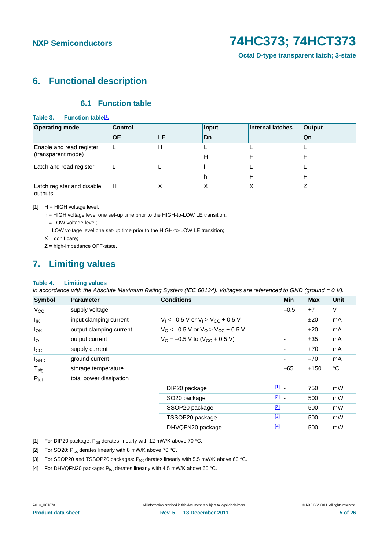**Octal D-type transparent latch; 3-state**

### <span id="page-4-5"></span>**6. Functional description**

### **6.1 Function table**

#### <span id="page-4-6"></span>Table 3. Function table<sup>[1]</sup>

| <b>Operating mode</b>                 | <b>Control</b> |           | Input | <b>Internal latches</b> | <b>Output</b> |
|---------------------------------------|----------------|-----------|-------|-------------------------|---------------|
|                                       | <b>OE</b>      | <b>LE</b> | Dn    |                         | Qn            |
| Enable and read register              |                | н         |       |                         |               |
| (transparent mode)                    |                |           | н     | Н                       | н             |
| Latch and read register               |                |           |       |                         |               |
|                                       |                |           | h     | н                       | н             |
| Latch register and disable<br>outputs | H              |           |       |                         |               |

<span id="page-4-0"></span> $[1]$  H = HIGH voltage level;

h = HIGH voltage level one set-up time prior to the HIGH-to-LOW LE transition;

L = LOW voltage level;

I = LOW voltage level one set-up time prior to the HIGH-to-LOW LE transition;

 $X =$  don't care;

Z = high-impedance OFF-state.

### <span id="page-4-7"></span>**7. Limiting values**

#### **Table 4. Limiting values**

*In accordance with the Absolute Maximum Rating System (IEC 60134). Voltages are referenced to GND (ground = 0 V).*

| Symbol           | <b>Parameter</b>        | <b>Conditions</b>                                             | <b>Min</b>                        | <b>Max</b> | <b>Unit</b> |
|------------------|-------------------------|---------------------------------------------------------------|-----------------------------------|------------|-------------|
| $V_{\rm CC}$     | supply voltage          |                                                               | $-0.5$                            | $+7$       | V           |
| $I_{IK}$         | input clamping current  | $V_1$ < -0.5 V or $V_1$ > $V_{CC}$ + 0.5 V                    | ۰                                 | ±20        | mA          |
| $I_{OK}$         | output clamping current | $V_{\rm O}$ < -0.5 V or $V_{\rm O}$ > V <sub>CC</sub> + 0.5 V | ۰                                 | ±20        | mA          |
| $I_{\rm O}$      | output current          | $V_{\text{O}} = -0.5 \text{ V}$ to (V <sub>CC</sub> + 0.5 V)  | ٠                                 | ±35        | mA          |
| $_{\rm lcc}$     | supply current          |                                                               | $\overline{\phantom{a}}$          | $+70$      | mA          |
| <b>I</b> GND     | ground current          |                                                               | ٠                                 | $-70$      | mA          |
| $T_{\text{stg}}$ | storage temperature     |                                                               | $-65$                             | $+150$     | $^{\circ}C$ |
| $P_{\text{tot}}$ | total power dissipation |                                                               |                                   |            |             |
|                  |                         | DIP20 package                                                 | $\boxed{1}$                       | 750        | mW          |
|                  |                         | SO <sub>20</sub> package                                      | $\boxed{2}$ -                     | 500        | mW          |
|                  |                         | SSOP20 package                                                | $[3]$                             | 500        | mW          |
|                  |                         | TSSOP20 package                                               | $[3]$                             | 500        | mW          |
|                  |                         | DHVQFN20 package                                              | $[4]$<br>$\overline{\phantom{a}}$ | 500        | mW          |

<span id="page-4-1"></span>[1] For DIP20 package:  $P_{tot}$  derates linearly with 12 mW/K above 70 °C.

<span id="page-4-2"></span>[2] For SO20:  $P_{tot}$  derates linearly with 8 mW/K above 70 °C.

<span id="page-4-3"></span>[3] For SSOP20 and TSSOP20 packages:  $P_{tot}$  derates linearly with 5.5 mW/K above 60 °C.

<span id="page-4-4"></span>[4] For DHVQFN20 package:  $P_{tot}$  derates linearly with 4.5 mW/K above 60 °C.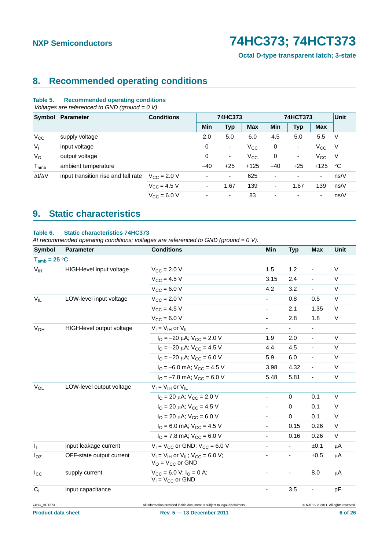**Octal D-type transparent latch; 3-state**

### <span id="page-5-0"></span>**8. Recommended operating conditions**

#### **Table 5. Recommended operating conditions**

 *Voltages are referenced to GND (ground = 0 V)*

| Symbol              | Parameter                           | <b>Conditions</b>    | 74HC373                  |                          |            | 74HCT373   |                          |              | Unit |
|---------------------|-------------------------------------|----------------------|--------------------------|--------------------------|------------|------------|--------------------------|--------------|------|
|                     |                                     |                      | <b>Min</b>               | <b>Typ</b>               | <b>Max</b> | <b>Min</b> | <b>Typ</b>               | <b>Max</b>   |      |
| $V_{CC}$            | supply voltage                      |                      | 2.0                      | 5.0                      | 6.0        | 4.5        | 5.0                      | 5.5          | V    |
| $V_{I}$             | input voltage                       |                      | 0                        | ۰                        | $V_{CC}$   | 0          | ٠                        | $V_{\rm CC}$ | - V  |
| $V_{\rm O}$         | output voltage                      |                      | 0                        | $\overline{\phantom{a}}$ | $V_{CC}$   | 0          | ٠                        | $V_{\rm CC}$ | - V  |
| $T_{amb}$           | ambient temperature                 |                      | $-40$                    | $+25$                    | $+125$     | $-40$      | $+25$                    | $+125$       | °C   |
| $\Delta t/\Delta V$ | input transition rise and fall rate | $V_{\rm CC} = 2.0 V$ | ٠                        | $\overline{\phantom{a}}$ | 625        | ٠          | ٠                        | ٠            | ns/V |
|                     |                                     | $V_{\rm CC} = 4.5 V$ | $\overline{\phantom{a}}$ | 1.67                     | 139        | -          | 1.67                     | 139          | ns/V |
|                     |                                     | $V_{\rm CC} = 6.0 V$ | $\overline{\phantom{a}}$ | ٠                        | 83         | ٠          | $\overline{\phantom{0}}$ | ٠            | ns/V |

### <span id="page-5-1"></span>**9. Static characteristics**

#### **Table 6. Static characteristics 74HC373**

*At recommended operating conditions; voltages are referenced to GND (ground = 0 V).*

| <b>Symbol</b>             | <b>Parameter</b>          | <b>Conditions</b>                                                          | Min                      | <b>Typ</b>               | <b>Max</b>               | Unit                                  |
|---------------------------|---------------------------|----------------------------------------------------------------------------|--------------------------|--------------------------|--------------------------|---------------------------------------|
| $T_{amb} = 25 °C$         |                           |                                                                            |                          |                          |                          |                                       |
| V <sub>IH</sub>           | HIGH-level input voltage  | $V_{\rm CC} = 2.0 V$                                                       | 1.5                      | 1.2                      |                          | V                                     |
|                           |                           | $V_{CC} = 4.5 V$                                                           | 3.15                     | 2.4                      | $\overline{a}$           | $\vee$                                |
|                           |                           | $V_{CC} = 6.0 V$                                                           | 4.2                      | 3.2                      | $\blacksquare$           | $\vee$                                |
| $V_{IL}$                  | LOW-level input voltage   | $V_{CC}$ = 2.0 V                                                           | $\overline{\phantom{0}}$ | 0.8                      | 0.5                      | V                                     |
|                           |                           | $V_{CC} = 4.5 V$                                                           | $\overline{\phantom{0}}$ | 2.1                      | 1.35                     | $\vee$                                |
|                           |                           | $V_{\text{CC}} = 6.0 V$                                                    | $\overline{\phantom{0}}$ | 2.8                      | 1.8                      | V                                     |
| $V_{OH}$                  | HIGH-level output voltage | $V_1 = V_{1H}$ or $V_{1L}$                                                 | $\overline{\phantom{a}}$ | $\blacksquare$           | $\blacksquare$           |                                       |
|                           |                           | $I_{\Omega} = -20 \mu A$ ; $V_{CC} = 2.0 V$                                | 1.9                      | 2.0                      | ÷,                       | $\vee$                                |
|                           |                           | $I_{\Omega} = -20 \mu A$ ; $V_{\text{CC}} = 4.5 V$                         | 4.4                      | 4.5                      | ä,                       | $\vee$                                |
|                           |                           | $I_{\Omega} = -20 \mu A$ ; $V_{\text{CC}} = 6.0 \text{ V}$                 | 5.9                      | 6.0                      | $\blacksquare$           | V                                     |
|                           |                           | $IO = -6.0$ mA; $VCC = 4.5$ V                                              | 3.98                     | 4.32                     | $\overline{\phantom{a}}$ | V                                     |
|                           |                           | $I_{\Omega}$ = -7.8 mA; $V_{\text{CC}}$ = 6.0 V                            | 5.48                     | 5.81                     | ä,                       | $\vee$                                |
| $V_{OL}$                  | LOW-level output voltage  | $V_I = V_{IH}$ or $V_{IL}$                                                 |                          |                          |                          |                                       |
|                           |                           | $I_{\Omega}$ = 20 µA; $V_{\text{CC}}$ = 2.0 V                              |                          | $\mathbf 0$              | 0.1                      | V                                     |
|                           |                           | $I_{\Omega}$ = 20 µA; $V_{CC}$ = 4.5 V                                     |                          | $\Omega$                 | 0.1                      | $\vee$                                |
|                           |                           | $I_{\text{O}}$ = 20 µA; $V_{\text{CC}}$ = 6.0 V                            | $\blacksquare$           | $\Omega$                 | 0.1                      | $\vee$                                |
|                           |                           | $IO$ = 6.0 mA; $VCC$ = 4.5 V                                               |                          | 0.15                     | 0.26                     | V                                     |
|                           |                           | $IO$ = 7.8 mA; $VCC$ = 6.0 V                                               |                          | 0.16                     | 0.26                     | $\mathsf{V}$                          |
| I <sub>1</sub>            | input leakage current     | $V_1$ = $V_{CC}$ or GND; $V_{CC}$ = 6.0 V                                  |                          |                          | ±0.1                     | μA                                    |
| $I_{OZ}$                  | OFF-state output current  | $V_1 = V_{1H}$ or $V_{1I}$ ; $V_{CC} = 6.0$ V;<br>$V_O = V_{CC}$ or GND    |                          | $\overline{\phantom{a}}$ | ±0.5                     | μA                                    |
| $I_{\rm CC}$              | supply current            | $V_{CC} = 6.0 V$ ; $I_{O} = 0 A$ ;<br>$V_1 = V_{CC}$ or GND                |                          |                          | 8.0                      | μA                                    |
| C <sub>1</sub>            | input capacitance         |                                                                            |                          | 3.5                      | $\blacksquare$           | pF                                    |
| 74HC_HCT373               |                           | All information provided in this document is subject to legal disclaimers. |                          |                          |                          | @ NXP B.V. 2011. All rights reserved. |
| <b>Product data sheet</b> |                           | Rev. 5 - 13 December 2011                                                  |                          |                          |                          | 6 of 26                               |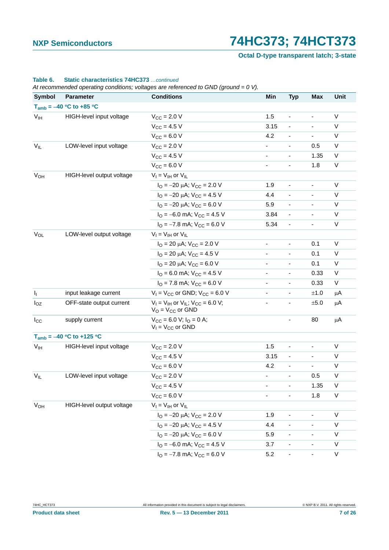**Octal D-type transparent latch; 3-state**

| <b>Symbol</b>   | <b>Parameter</b>              | <b>Conditions</b>                                                       | Min                          | <b>Typ</b>                   | <b>Max</b>               | Unit        |
|-----------------|-------------------------------|-------------------------------------------------------------------------|------------------------------|------------------------------|--------------------------|-------------|
|                 | $T_{amb} = -40 °C$ to +85 °C  |                                                                         |                              |                              |                          |             |
| V <sub>IH</sub> | HIGH-level input voltage      | $V_{\text{CC}} = 2.0 V$                                                 | 1.5                          | $\qquad \qquad \blacksquare$ | $\overline{\phantom{a}}$ | V           |
|                 |                               | $V_{CC} = 4.5 V$                                                        | 3.15                         | $\blacksquare$               | $\overline{\phantom{a}}$ | V           |
|                 |                               | $V_{CC} = 6.0 V$                                                        | 4.2                          | $\blacksquare$               | $\blacksquare$           | V           |
| $V_{IL}$        | LOW-level input voltage       | $V_{CC} = 2.0 V$                                                        | $\blacksquare$               | $\overline{\phantom{a}}$     | 0.5                      | V           |
|                 |                               | $V_{CC}$ = 4.5 V                                                        | $\blacksquare$               | $\blacksquare$               | 1.35                     | V           |
|                 |                               | $V_{CC}$ = 6.0 V                                                        | $\overline{\phantom{0}}$     | $\frac{1}{2}$                | 1.8                      | V           |
| $V_{OH}$        | HIGH-level output voltage     | $V_I = V_{IH}$ or $V_{IL}$                                              |                              |                              |                          |             |
|                 |                               | $I_{\Omega} = -20 \mu A$ ; $V_{CC} = 2.0 V$                             | 1.9                          | $\frac{1}{2}$                | $\overline{\phantom{a}}$ | V           |
|                 |                               | $I_{\rm O} = -20 \mu A$ ; $V_{\rm CC} = 4.5 V$                          | 4.4                          | $\frac{1}{2}$                | $\overline{\phantom{a}}$ | V           |
|                 |                               | $I_{\text{O}} = -20 \mu\text{A}$ ; $V_{\text{CC}} = 6.0 \text{ V}$      | 5.9                          | $\blacksquare$               | $\overline{\phantom{a}}$ | V           |
|                 |                               | $I_{\text{O}} = -6.0$ mA; $V_{\text{CC}} = 4.5$ V                       | 3.84                         | $\frac{1}{2}$                | $\blacksquare$           | V           |
|                 |                               | $I_{\text{O}} = -7.8 \text{ mA}$ ; $V_{\text{CC}} = 6.0 \text{ V}$      | 5.34                         | $\blacksquare$               | $\overline{\phantom{a}}$ | V           |
| $V_{OL}$        | LOW-level output voltage      | $V_I = V_{IH}$ or $V_{IL}$                                              |                              |                              |                          |             |
|                 |                               | $I_{O}$ = 20 µA; $V_{CC}$ = 2.0 V                                       | $\overline{\phantom{a}}$     | $\qquad \qquad \blacksquare$ | 0.1                      | V           |
|                 |                               | $I_{\text{O}}$ = 20 µA; $V_{\text{CC}}$ = 4.5 V                         | $\overline{\phantom{0}}$     | $\qquad \qquad \blacksquare$ | 0.1                      | V           |
|                 |                               | $I_{\text{O}}$ = 20 µA; $V_{\text{CC}}$ = 6.0 V                         | $\overline{\phantom{0}}$     |                              | 0.1                      | V           |
|                 |                               | $IO$ = 6.0 mA; $VCC$ = 4.5 V                                            | $\blacksquare$               | $\overline{\phantom{a}}$     | 0.33                     | V           |
|                 |                               | $IO$ = 7.8 mA; $VCC$ = 6.0 V                                            | $\overline{\phantom{a}}$     | $\overline{\phantom{a}}$     | 0.33                     | V           |
| $I_1$           | input leakage current         | $V_1 = V_{CC}$ or GND; $V_{CC} = 6.0$ V                                 |                              | $\frac{1}{2}$                | ±1.0                     | μA          |
| $I_{OZ}$        | OFF-state output current      | $V_I = V_{IH}$ or $V_{IL}$ ; $V_{CC} = 6.0$ V;<br>$V_O = V_{CC}$ or GND | $\qquad \qquad \blacksquare$ | $\overline{\phantom{a}}$     | ±5.0                     | μA          |
| $I_{\rm CC}$    | supply current                | $V_{CC}$ = 6.0 V; $I_{O}$ = 0 A;<br>$V_1 = V_{CC}$ or GND               |                              |                              | 80                       | μA          |
|                 | $T_{amb} = -40 °C$ to +125 °C |                                                                         |                              |                              |                          |             |
| V <sub>IH</sub> | HIGH-level input voltage      | $V_{CC}$ = 2.0 V                                                        | 1.5                          | ÷,                           | $\blacksquare$           | V           |
|                 |                               | $V_{CC}$ = 4.5 V                                                        | 3.15                         | $\blacksquare$               | $\overline{\phantom{a}}$ | V           |
|                 |                               | $V_{CC}$ = 6.0 V                                                        | 4.2                          | $\overline{a}$               | $\blacksquare$           | $\mathsf V$ |
| $V_{IL}$        | LOW-level input voltage       | $V_{CC}$ = 2.0 V                                                        | - 1                          | ٠                            | 0.5                      | V           |
|                 |                               | $V_{CC} = 4.5 V$                                                        |                              |                              | 1.35                     | $\sf V$     |
|                 |                               | $V_{CC} = 6.0 V$                                                        | $\overline{\phantom{0}}$     | $\frac{1}{2}$                | 1.8                      | $\mathsf V$ |
| $V_{OH}$        | HIGH-level output voltage     | $V_I = V_{IH}$ or $V_{IL}$                                              |                              |                              |                          |             |
|                 |                               | $I_{\text{O}} = -20 \mu\text{A}$ ; $V_{\text{CC}} = 2.0 \text{ V}$      | 1.9                          | $\qquad \qquad \blacksquare$ |                          | V           |
|                 |                               | $I_{\text{O}} = -20 \mu\text{A}$ ; $V_{\text{CC}} = 4.5 \text{ V}$      | 4.4                          |                              |                          | V           |
|                 |                               | $I_{\Omega} = -20 \mu A$ ; $V_{CC} = 6.0 V$                             | 5.9                          | $\overline{\phantom{a}}$     |                          | V           |
|                 |                               | $IO = -6.0$ mA; $VCC = 4.5$ V                                           | 3.7                          |                              |                          | V           |
|                 |                               | $IO = -7.8$ mA; $VCC = 6.0$ V                                           | 5.2                          | $\overline{\phantom{a}}$     | $\blacksquare$           | V           |

#### **Table 6. Static characteristics 74HC373** *…continued*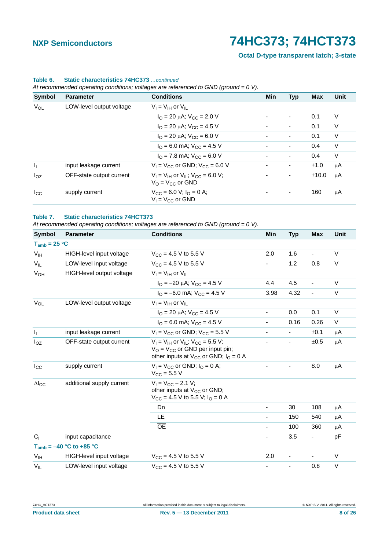**Octal D-type transparent latch; 3-state**

| <b>Symbol</b>             | <b>Parameter</b>         | <b>Conditions</b>                                                                     | <b>Min</b> | <b>Typ</b>     | <b>Max</b> | <b>Unit</b> |
|---------------------------|--------------------------|---------------------------------------------------------------------------------------|------------|----------------|------------|-------------|
| VOL                       | LOW-level output voltage | $V_I = V_{IH}$ or $V_{II}$                                                            |            |                |            |             |
|                           |                          | $I_{\text{O}} = 20 \mu\text{A}$ ; $V_{\text{CC}} = 2.0 \text{ V}$                     |            | ٠              | 0.1        | V           |
|                           |                          | $I_{\text{O}}$ = 20 µA; $V_{\text{CC}}$ = 4.5 V                                       |            | $\blacksquare$ | 0.1        | V           |
|                           |                          | $I_{\text{O}}$ = 20 µA; $V_{\text{CC}}$ = 6.0 V                                       |            | ٠              | 0.1        | V           |
|                           |                          | $IO$ = 6.0 mA; $VCC$ = 4.5 V                                                          |            | ٠              | 0.4        | V           |
|                           |                          | $I_{\Omega}$ = 7.8 mA; $V_{\text{CC}}$ = 6.0 V                                        |            | ٠              | 0.4        | V           |
| $\mathsf{I}_{\mathsf{I}}$ | input leakage current    | $V_1 = V_{CC}$ or GND; $V_{CC} = 6.0$ V                                               |            | ۰              | ±1.0       | μA          |
| $I_{OZ}$                  | OFF-state output current | $V_1 = V_{1H}$ or $V_{1I}$ ; $V_{CC} = 6.0$ V;<br>$V_O = V_{CC}$ or GND               |            | ۰              | ±10.0      | μA          |
| $I_{\rm CC}$              | supply current           | $V_{\text{CC}} = 6.0 \text{ V}; I_{\text{O}} = 0 \text{ A};$<br>$V_1 = V_{CC}$ or GND |            |                | 160        | μA          |

### **Table 6. Static characteristics 74HC373** *…continued*

*At recommended operating conditions; voltages are referenced to GND (ground = 0 V).*

#### **Table 7. Static characteristics 74HCT373**

*At recommended operating conditions; voltages are referenced to GND (ground = 0 V).*

| <b>Symbol</b>     | <b>Parameter</b>             | <b>Conditions</b>                                                                                                                                         | Min                      | <b>Typ</b>               | <b>Max</b> | <b>Unit</b> |
|-------------------|------------------------------|-----------------------------------------------------------------------------------------------------------------------------------------------------------|--------------------------|--------------------------|------------|-------------|
| $T_{amb} = 25 °C$ |                              |                                                                                                                                                           |                          |                          |            |             |
| $V_{IH}$          | HIGH-level input voltage     | $V_{\text{CC}} = 4.5 \text{ V}$ to 5.5 V                                                                                                                  | 2.0                      | 1.6                      | ä,         | $\vee$      |
| $V_{IL}$          | LOW-level input voltage      | $V_{CC}$ = 4.5 V to 5.5 V                                                                                                                                 | ۰                        | 1.2                      | 0.8        | V           |
| $V_{OH}$          | HIGH-level output voltage    | $V_1 = V_{1H}$ or $V_{II}$                                                                                                                                |                          |                          |            |             |
|                   |                              | $I_{\Omega}$ = -20 $\mu$ A; V <sub>CC</sub> = 4.5 V                                                                                                       | 4.4                      | 4.5                      | ÷,         | V           |
|                   |                              | $I_{\Omega} = -6.0$ mA; $V_{\text{CC}} = 4.5$ V                                                                                                           | 3.98                     | 4.32                     | ÷,         | V           |
| $V_{OL}$          | LOW-level output voltage     | $V_1 = V_{1H}$ or $V_{II}$                                                                                                                                |                          |                          |            |             |
|                   |                              | $I_{\Omega}$ = 20 µA; $V_{\text{CC}}$ = 4.5 V                                                                                                             | $\overline{\phantom{0}}$ | 0.0                      | 0.1        | V           |
|                   |                              | $I_{\Omega}$ = 6.0 mA; $V_{\text{CC}}$ = 4.5 V                                                                                                            | $\overline{\phantom{0}}$ | 0.16                     | 0.26       | V           |
| ı,                | input leakage current        | $V_1 = V_{CC}$ or GND; $V_{CC} = 5.5$ V                                                                                                                   |                          |                          | ±0.1       | μA          |
| $I_{OZ}$          | OFF-state output current     | $V_1 = V_{1H}$ or $V_{1I}$ ; $V_{CC} = 5.5 V$ ;<br>$V_{\Omega}$ = $V_{\text{CC}}$ or GND per input pin;<br>other inputs at $V_{CC}$ or GND; $I_{O} = 0$ A |                          | ٠                        | ±0.5       | μA          |
| $I_{\rm CC}$      | supply current               | $V_1 = V_{CC}$ or GND; $I_Q = 0$ A;<br>$V_{CC}$ = 5.5 V                                                                                                   | $\overline{\phantom{a}}$ | $\overline{\phantom{0}}$ | 8.0        | μA          |
| $\Delta I_{CC}$   | additional supply current    | $V_1 = V_{CC} - 2.1 V;$<br>other inputs at $V_{CC}$ or GND;<br>$V_{CC}$ = 4.5 V to 5.5 V; $IO$ = 0 A                                                      |                          |                          |            |             |
|                   |                              | Dn                                                                                                                                                        | $\overline{\phantom{0}}$ | 30                       | 108        | μA          |
|                   |                              | LE                                                                                                                                                        |                          | 150                      | 540        | μA          |
|                   |                              | $\overline{OE}$                                                                                                                                           | -                        | 100                      | 360        | μA          |
| C <sub>1</sub>    | input capacitance            |                                                                                                                                                           | $\overline{\phantom{0}}$ | 3.5                      | -          | pF          |
|                   | $T_{amb} = -40 °C$ to +85 °C |                                                                                                                                                           |                          |                          |            |             |
| $V_{IH}$          | HIGH-level input voltage     | $V_{\text{CC}} = 4.5 \text{ V}$ to 5.5 V                                                                                                                  | 2.0                      | $\blacksquare$           | ÷,         | V           |
| $V_{IL}$          | LOW-level input voltage      | $V_{CC}$ = 4.5 V to 5.5 V                                                                                                                                 |                          | $\overline{\phantom{a}}$ | 0.8        | V           |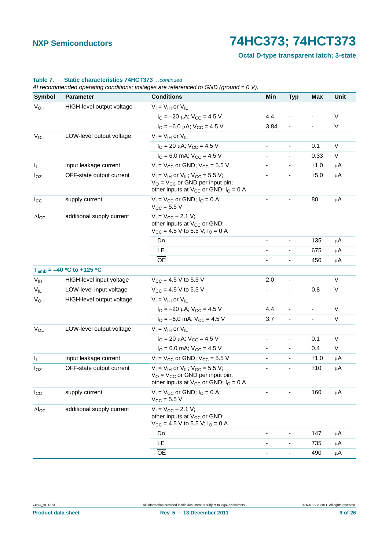**Octal D-type transparent latch; 3-state**

| Symbol                 | Parameter                     | <b>Conditions</b>                                                                                                                                    | Min                      | <b>Typ</b>                   | <b>Max</b> | Unit         |
|------------------------|-------------------------------|------------------------------------------------------------------------------------------------------------------------------------------------------|--------------------------|------------------------------|------------|--------------|
| V <sub>OH</sub>        | HIGH-level output voltage     | $V_I = V_{IH}$ or $V_{IL}$                                                                                                                           |                          |                              |            |              |
|                        |                               | $I_{\rm O} = -20 \mu A$ ; $V_{\rm CC} = 4.5 V$                                                                                                       | 4.4                      |                              |            | V            |
|                        |                               | $I_{\text{O}} = -6.0 \mu\text{A}$ ; $V_{\text{CC}} = 4.5 \text{ V}$                                                                                  | 3.84                     | $\blacksquare$               | ä,         | V            |
| V <sub>OL</sub>        | LOW-level output voltage      | $V_I = V_{IH}$ or $V_{IL}$                                                                                                                           |                          |                              |            |              |
|                        |                               | $I_{\text{O}}$ = 20 µA; $V_{\text{CC}}$ = 4.5 V                                                                                                      | $\overline{\phantom{a}}$ | $\overline{\phantom{0}}$     | 0.1        | V            |
|                        |                               | $I_{\text{O}}$ = 6.0 mA; $V_{\text{CC}}$ = 4.5 V                                                                                                     |                          |                              | 0.33       | V            |
| Ч.                     | input leakage current         | $V_1$ = $V_{CC}$ or GND; $V_{CC}$ = 5.5 V                                                                                                            | $\blacksquare$           | $\qquad \qquad \blacksquare$ | ±1.0       | μA           |
| $I_{OZ}$               | OFF-state output current      | $V_1 = V_{1H}$ or $V_{1I}$ ; $V_{CC} = 5.5$ V;<br>$V_{O}$ = $V_{CC}$ or GND per input pin;<br>other inputs at $V_{CC}$ or GND; $I_{O} = 0$ A         |                          | $\blacksquare$               | ±5.0       | μA           |
| $I_{\rm CC}$           | supply current                | $V_1 = V_{CC}$ or GND; $I_Q = 0$ A;<br>$V_{CC}$ = 5.5 V                                                                                              |                          |                              | 80         | μA           |
| $\Delta I_{CC}$        | additional supply current     | $V_1 = V_{CC} - 2.1 V;$<br>other inputs at V <sub>CC</sub> or GND;<br>$V_{CC}$ = 4.5 V to 5.5 V; $I_{O}$ = 0 A                                       |                          |                              |            |              |
|                        |                               | Dn                                                                                                                                                   | $\overline{\phantom{a}}$ | $\overline{\phantom{a}}$     | 135        | μA           |
|                        |                               | LE                                                                                                                                                   |                          |                              | 675        | μA           |
|                        |                               | <b>OE</b>                                                                                                                                            |                          | $\overline{\phantom{a}}$     | 450        | μA           |
|                        | $T_{amb} = -40 °C$ to +125 °C |                                                                                                                                                      |                          |                              |            |              |
| V <sub>IH</sub>        | HIGH-level input voltage      | $V_{CC}$ = 4.5 V to 5.5 V                                                                                                                            | 2.0                      | $\overline{\phantom{0}}$     | ۰          | V            |
| $V_{IL}$               | LOW-level input voltage       | $V_{CC}$ = 4.5 V to 5.5 V                                                                                                                            |                          | $\blacksquare$               | 0.8        | V            |
| $V_{OH}$               | HIGH-level output voltage     | $V_I = V_{IH}$ or $V_{IL}$                                                                                                                           |                          |                              |            |              |
|                        |                               | $I_{\text{O}} = -20 \mu\text{A}$ ; $V_{\text{CC}} = 4.5 \text{ V}$                                                                                   | 4.4                      |                              |            | V            |
|                        |                               | $I_{\Omega} = -6.0$ mA; $V_{CC} = 4.5$ V                                                                                                             | 3.7                      | $\overline{\phantom{a}}$     | -          | V            |
| $V_{OL}$               | LOW-level output voltage      | $V_I = V_{IH}$ or $V_{IL}$                                                                                                                           |                          |                              |            |              |
|                        |                               | $I_{\text{O}}$ = 20 µA; $V_{\text{CC}}$ = 4.5 V                                                                                                      | $\blacksquare$           | $\overline{\phantom{a}}$     | 0.1        | V            |
|                        |                               | $IO$ = 6.0 mA; $VCC$ = 4.5 V                                                                                                                         |                          | $\overline{\phantom{a}}$     | 0.4        | $\mathsf{V}$ |
| ı,                     | input leakage current         | $V_1$ = $V_{CC}$ or GND; $V_{CC}$ = 5.5 V                                                                                                            |                          | $\overline{\phantom{a}}$     | ±1.0       | μA           |
| $I_{OZ}$               | OFF-state output current      | $V_I = V_{IH}$ or $V_{IL}$ ; $V_{CC} = 5.5$ V;<br>$V_{\rm O}$ = $V_{\rm CC}$ or GND per input pin;<br>other inputs at $V_{CC}$ or GND; $I_{O} = 0$ A |                          |                              | ±10        | μA           |
| $I_{\rm CC}$           | supply current                | $V_1 = V_{CC}$ or GND; $I_Q = 0$ A;<br>$V_{\text{CC}} = 5.5 V$                                                                                       |                          |                              | 160        | μA           |
| $\Delta I_{\text{CC}}$ | additional supply current     | $V_1 = V_{CC} - 2.1 V;$<br>other inputs at V <sub>CC</sub> or GND;<br>$V_{CC}$ = 4.5 V to 5.5 V; $I_{O}$ = 0 A                                       |                          |                              |            |              |
|                        |                               | Dn                                                                                                                                                   |                          | ٠                            | 147        | μA           |
|                        |                               | LE                                                                                                                                                   |                          | $\overline{\phantom{0}}$     | 735        | μA           |
|                        |                               | $\overline{OE}$                                                                                                                                      |                          |                              | 490        | μA           |

### **Table 7. Static characteristics 74HCT373** *…continued*

*At recommended operating conditions; voltages are referenced to GND (ground = 0 V).*

**Product data sheet** 9 of 26 and 2011 **Rev. 5 — 13 December 2011** 9 of 26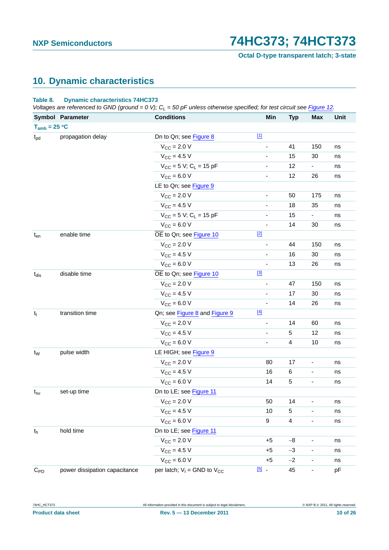**Octal D-type transparent latch; 3-state**

### <span id="page-9-0"></span>**10. Dynamic characteristics**

#### **Table 8. Dynamic characteristics 74HC373**

*Voltages are referenced to GND (ground = 0 V); C<sub>I</sub> = 50 pF unless otherwise specified; for test circuit see [Figure 12.](#page-16-0)* 

|                   | Symbol Parameter              | <b>Conditions</b>                      | Min                          | <b>Typ</b>              | <b>Max</b>                   | Unit |
|-------------------|-------------------------------|----------------------------------------|------------------------------|-------------------------|------------------------------|------|
| $T_{amb} = 25 °C$ |                               |                                        |                              |                         |                              |      |
| $t_{pd}$          | propagation delay             | Dn to Qn; see Figure 8                 | $[1]$                        |                         |                              |      |
|                   |                               | $V_{CC}$ = 2.0 V                       |                              | 41                      | 150                          | ns   |
|                   |                               | $V_{CC}$ = 4.5 V                       | $\qquad \qquad \blacksquare$ | 15                      | 30                           | ns   |
|                   |                               | $V_{CC}$ = 5 V; C <sub>L</sub> = 15 pF | $\overline{\phantom{a}}$     | 12                      | $\blacksquare$               | ns   |
|                   |                               | $V_{CC} = 6.0 V$                       | $\blacksquare$               | 12                      | 26                           | ns   |
|                   |                               | LE to Qn; see Figure 9                 |                              |                         |                              |      |
|                   |                               | $V_{CC} = 2.0 V$                       | $\blacksquare$               | 50                      | 175                          | ns   |
|                   |                               | $V_{CC} = 4.5 V$                       | $\overline{\phantom{a}}$     | 18                      | 35                           | ns   |
|                   |                               | $V_{CC}$ = 5 V; C <sub>L</sub> = 15 pF | $\overline{\phantom{a}}$     | 15                      | $\blacksquare$               | ns   |
|                   |                               | $V_{CC} = 6.0 V$                       | $\blacksquare$               | 14                      | 30                           | ns   |
| $t_{en}$          | enable time                   | OE to Qn; see Figure 10                | $[2]$                        |                         |                              |      |
|                   |                               | $V_{CC} = 2.0 V$                       | $\overline{\phantom{a}}$     | 44                      | 150                          | ns   |
|                   |                               | $V_{CC} = 4.5 V$                       | $\overline{\phantom{a}}$     | 16                      | 30                           | ns   |
|                   |                               | $V_{CC} = 6.0 V$                       | $\overline{\phantom{a}}$     | 13                      | 26                           | ns   |
| $t_{dis}$         | disable time                  | OE to Qn; see Figure 10                | [3]                          |                         |                              |      |
|                   |                               | $V_{CC} = 2.0 V$                       | $\blacksquare$               | 47                      | 150                          | ns   |
|                   |                               | $V_{CC}$ = 4.5 V                       | $\qquad \qquad \blacksquare$ | 17                      | 30                           | ns   |
|                   |                               | $V_{CC} = 6.0 V$                       | $\qquad \qquad \blacksquare$ | 14                      | 26                           | ns   |
| $t_t$             | transition time               | Qn; see Figure 8 and Figure 9          | $[4]$                        |                         |                              |      |
|                   |                               | $V_{CC} = 2.0 V$                       | $\blacksquare$               | 14                      | 60                           | ns   |
|                   |                               | $V_{CC} = 4.5 V$                       | $\blacksquare$               | 5                       | 12                           | ns   |
|                   |                               | $V_{CC} = 6.0 V$                       | $\overline{\phantom{a}}$     | $\overline{4}$          | 10                           | ns   |
| $t_{\rm W}$       | pulse width                   | LE HIGH; see Figure 9                  |                              |                         |                              |      |
|                   |                               | $V_{CC} = 2.0 V$                       | 80                           | 17                      | $\overline{\phantom{a}}$     | ns   |
|                   |                               | $V_{CC}$ = 4.5 V                       | 16                           | 6                       | $\qquad \qquad \blacksquare$ | ns   |
|                   |                               | $V_{CC} = 6.0 V$                       | 14                           | 5                       | $\qquad \qquad \blacksquare$ | ns   |
| $t_{\rm su}$      | set-up time                   | Dn to LE; see Figure 11                |                              |                         |                              |      |
|                   |                               | $V_{\text{CC}} = 2.0 V$                | 50                           | 14                      | -                            | ns   |
|                   |                               | $V_{CC} = 4.5 V$                       | 10                           | 5                       |                              | ns   |
|                   |                               | $V_{CC} = 6.0 V$                       | 9                            | $\overline{\mathbf{4}}$ | $\overline{\phantom{a}}$     | ns   |
| $t_{h}$           | hold time                     | Dn to LE; see Figure 11                |                              |                         |                              |      |
|                   |                               | $V_{CC}$ = 2.0 V                       | $+5$                         | $-8$                    |                              | ns   |
|                   |                               | $V_{CC}$ = 4.5 V                       | $+5$                         | $-3$                    | $\qquad \qquad \blacksquare$ | ns   |
|                   |                               | $V_{CC} = 6.0 V$                       | $+5$                         | $-2$                    | $\qquad \qquad \blacksquare$ | ns   |
| $C_{PD}$          | power dissipation capacitance | per latch; $V_1 =$ GND to $V_{CC}$     | $\boxed{5}$ .                | 45                      | ۰                            | pF   |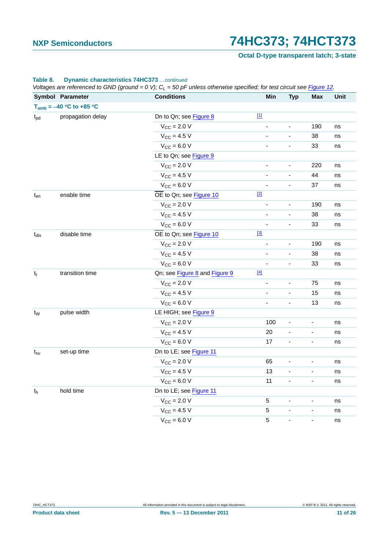**Octal D-type transparent latch; 3-state**

### **Table 8. Dynamic characteristics 74HC373** *…continued*

*Voltages are referenced to GND (ground = 0 V); CL = 50 pF unless otherwise specified; for test circuit see Figure 12.*

|                           |                              | w | $\cdots$                      | .     |                              |                              |                              |      |
|---------------------------|------------------------------|---|-------------------------------|-------|------------------------------|------------------------------|------------------------------|------|
|                           | Symbol Parameter             |   | <b>Conditions</b>             |       | Min                          | <b>Typ</b>                   | <b>Max</b>                   | Unit |
|                           | $T_{amb} = -40 °C$ to +85 °C |   |                               |       |                              |                              |                              |      |
| $t_{pd}$                  | propagation delay            |   | Dn to Qn; see Figure 8        | $[1]$ |                              |                              |                              |      |
|                           |                              |   | $V_{CC} = 2.0 V$              |       | $\blacksquare$               | $\blacksquare$               | 190                          | ns   |
|                           |                              |   | $V_{CC} = 4.5 V$              |       | ÷                            | ÷,                           | 38                           | ns   |
|                           |                              |   | $V_{CC} = 6.0 V$              |       | $\blacksquare$               | $\blacksquare$               | 33                           | ns   |
|                           |                              |   | LE to Qn; see Figure 9        |       |                              |                              |                              |      |
|                           |                              |   | $V_{\text{CC}} = 2.0 V$       |       |                              |                              | 220                          | ns   |
|                           |                              |   | $V_{CC}$ = 4.5 V              |       | $\qquad \qquad \blacksquare$ | $\qquad \qquad \blacksquare$ | 44                           | ns   |
|                           |                              |   | $V_{CC} = 6.0 V$              |       | $\qquad \qquad \blacksquare$ | $\blacksquare$               | 37                           | ns   |
| $t_{en}$                  | enable time                  |   | OE to Qn; see Figure 10       | $[2]$ |                              |                              |                              |      |
|                           |                              |   | $V_{CC}$ = 2.0 V              |       |                              | $\blacksquare$               | 190                          | ns   |
|                           |                              |   | $V_{CC}$ = 4.5 V              |       |                              | ÷,                           | 38                           | ns   |
|                           |                              |   | $V_{CC} = 6.0 V$              |       | ÷                            | $\blacksquare$               | 33                           | ns   |
| $t_{\rm dis}$             | disable time                 |   | OE to Qn; see Figure 10       | $[3]$ |                              |                              |                              |      |
|                           |                              |   | $V_{CC}$ = 2.0 V              |       | $\overline{\phantom{a}}$     | $\blacksquare$               | 190                          | ns   |
|                           |                              |   | $V_{CC}$ = 4.5 V              |       | $\blacksquare$               | $\blacksquare$               | 38                           | ns   |
|                           |                              |   | $V_{CC} = 6.0 V$              |       | ÷,                           | $\overline{\phantom{a}}$     | 33                           | ns   |
| $t_t$                     | transition time              |   | Qn; see Figure 8 and Figure 9 | $[4]$ |                              |                              |                              |      |
|                           |                              |   | $V_{CC}$ = 2.0 V              |       | $\overline{\phantom{a}}$     | $\qquad \qquad \blacksquare$ | 75                           | ns   |
|                           |                              |   | $V_{CC}$ = 4.5 V              |       | $\qquad \qquad \blacksquare$ | $\overline{\phantom{0}}$     | 15                           | ns   |
|                           |                              |   | $V_{CC} = 6.0 V$              |       | $\qquad \qquad \blacksquare$ | $\qquad \qquad \blacksquare$ | 13                           | ns   |
| $t_{W}$                   | pulse width                  |   | LE HIGH; see Figure 9         |       |                              |                              |                              |      |
|                           |                              |   | $V_{\text{CC}} = 2.0 V$       |       | 100                          | $\qquad \qquad \blacksquare$ | $\overline{\phantom{a}}$     | ns   |
|                           |                              |   | $V_{CC}$ = 4.5 V              |       | 20                           | $\blacksquare$               | $\blacksquare$               | ns   |
|                           |                              |   | $V_{CC} = 6.0 V$              |       | 17                           | $\blacksquare$               | $\overline{\phantom{a}}$     | ns   |
| $t_{\rm su}$              | set-up time                  |   | Dn to LE; see Figure 11       |       |                              |                              |                              |      |
|                           |                              |   | $V_{CC} = 2.0 V$              |       | 65                           | $\overline{\phantom{a}}$     | $\blacksquare$               | ns   |
|                           |                              |   | $V_{CC}$ = 4.5 V              |       | 13                           | ÷,                           | $\qquad \qquad \blacksquare$ | ns   |
|                           |                              |   | $V_{CC} = 6.0 V$              |       | 11                           | $\blacksquare$               | $\blacksquare$               | ns   |
| $\mathfrak{t}_\mathsf{h}$ | hold time                    |   | Dn to LE; see Figure 11       |       |                              |                              |                              |      |
|                           |                              |   | $V_{CC}$ = 2.0 V              |       | 5                            | $\overline{\phantom{a}}$     | $\qquad \qquad \blacksquare$ | ns   |
|                           |                              |   | $V_{CC}$ = 4.5 V              |       | $\mathbf 5$                  | ÷                            | $\qquad \qquad \blacksquare$ | ns   |
|                           |                              |   | $V_{CC} = 6.0 V$              |       | 5                            | $\blacksquare$               | $\overline{\phantom{a}}$     | ns   |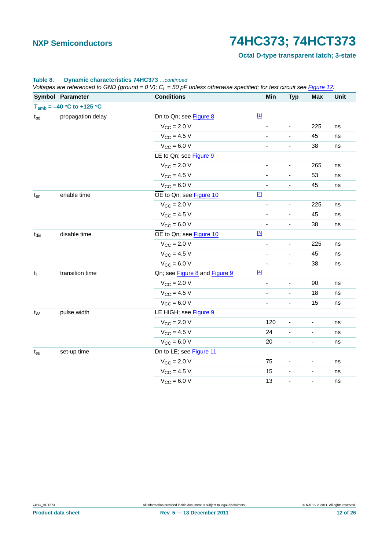**Octal D-type transparent latch; 3-state**

### **Table 8. Dynamic characteristics 74HC373** *…continued*

*Voltages are referenced to GND (ground = 0 V); CL = 50 pF unless otherwise specified; for test circuit see Figure 12.*

|                           | Symbol Parameter              | <b>Conditions</b>             | Min                          | <b>Typ</b>                   | <b>Max</b>               | Unit      |
|---------------------------|-------------------------------|-------------------------------|------------------------------|------------------------------|--------------------------|-----------|
|                           | $T_{amb} = -40 °C$ to +125 °C |                               |                              |                              |                          |           |
| $t_{pd}$                  | propagation delay             | Dn to Qn; see Figure 8        | $[1]$                        |                              |                          |           |
|                           |                               | $V_{CC}$ = 2.0 V              |                              |                              | 225                      | ns        |
|                           |                               | $V_{CC} = 4.5 V$              |                              | ÷,                           | 45                       | ns        |
|                           |                               | $V_{CC} = 6.0 V$              | $\blacksquare$               | $\blacksquare$               | 38                       | ns        |
|                           |                               | LE to Qn; see Figure 9        |                              |                              |                          |           |
|                           |                               | $V_{\text{CC}} = 2.0 V$       | ä,                           |                              | 265                      | ns        |
|                           |                               | $V_{CC} = 4.5 V$              | ä,                           | ä,                           | 53                       | ns        |
|                           |                               | $V_{CC} = 6.0 V$              | $\qquad \qquad \blacksquare$ | $\blacksquare$               | 45                       | ns        |
| enable time<br>$t_{en}$   |                               | OE to Qn; see Figure 10       | $[2]$                        |                              |                          |           |
|                           |                               | $V_{CC}$ = 2.0 V              |                              |                              | 225                      | ns        |
|                           |                               | $V_{CC}$ = 4.5 V              | ٠                            | -                            | 45                       | ns        |
|                           |                               | $V_{CC} = 6.0 V$              | ÷                            | $\blacksquare$               | 38                       | ns        |
| disable time<br>$t_{dis}$ |                               | OE to Qn; see Figure 10       | $[3]$                        |                              |                          |           |
|                           |                               | $V_{CC} = 2.0 V$              |                              |                              | 225                      | ns        |
|                           |                               | $V_{CC}$ = 4.5 V              |                              | $\overline{\phantom{a}}$     | 45                       | ns        |
|                           |                               | $V_{CC} = 6.0 V$              |                              | ä,                           | 38                       | ns        |
| $t_t$                     | transition time               | Qn; see Figure 8 and Figure 9 | $[4]$                        |                              |                          |           |
|                           |                               | $V_{CC}$ = 2.0 V              |                              | ä,                           | 90                       | ns        |
|                           |                               | $V_{CC}$ = 4.5 V              | $\qquad \qquad \blacksquare$ | $\qquad \qquad \blacksquare$ | 18                       | ns        |
|                           |                               | $V_{CC} = 6.0 V$              | ÷,                           | ÷,                           | 15                       | $\sf{ns}$ |
| $t_{W}$                   | pulse width                   | LE HIGH; see Figure 9         |                              |                              |                          |           |
|                           |                               | $V_{CC}$ = 2.0 V              | 120                          | $\overline{a}$               | $\blacksquare$           | ns        |
|                           |                               | $V_{CC}$ = 4.5 V              | 24                           | $\qquad \qquad \blacksquare$ | $\overline{\phantom{a}}$ | ns        |
|                           |                               | $V_{CC} = 6.0 V$              | 20                           | $\blacksquare$               | $\blacksquare$           | ns        |
| $t_{\rm su}$              | set-up time                   | Dn to LE; see Figure 11       |                              |                              |                          |           |
|                           |                               | $V_{CC}$ = 2.0 V              | 75                           | $\blacksquare$               | $\overline{\phantom{a}}$ | ns        |
|                           |                               | $V_{CC}$ = 4.5 V              | 15                           | $\blacksquare$               | $\overline{\phantom{a}}$ | ns        |
|                           |                               | $V_{CC}$ = 6.0 V              | 13                           | $\overline{\phantom{a}}$     | $\overline{\phantom{a}}$ | ns        |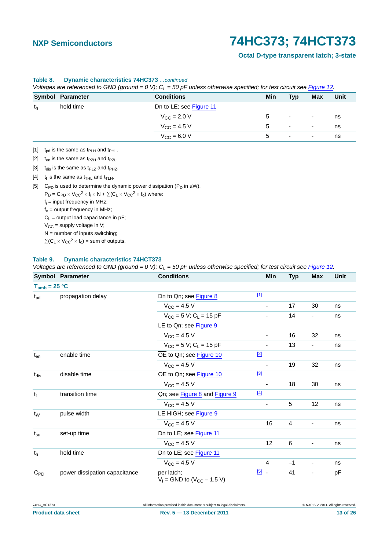#### **Octal D-type transparent latch; 3-state**

|    | vollayes are relefenced to GND (ground $= 0, v$ ), Gr $= 50$ producess otherwise specified, for test circuit see Figure 12. |                         |     |                |                          |      |
|----|-----------------------------------------------------------------------------------------------------------------------------|-------------------------|-----|----------------|--------------------------|------|
|    | Symbol Parameter                                                                                                            | <b>Conditions</b>       | Min | <b>Typ</b>     | <b>Max</b>               | Unit |
| th | hold time                                                                                                                   | Dn to LE; see Figure 11 |     |                |                          |      |
|    |                                                                                                                             | $V_{\text{CC}} = 2.0 V$ | 5   | $\blacksquare$ | $\overline{\phantom{a}}$ | ns   |
|    |                                                                                                                             | $V_{\rm CC}$ = 4.5 V    | 5   | $\sim$         | $\overline{\phantom{a}}$ | ns   |
|    |                                                                                                                             | $V_{\text{CC}} = 6.0 V$ | 5   | $\blacksquare$ | $\overline{\phantom{a}}$ | ns   |

#### **Table 8. Dynamic characteristics 74HC373** *…continued*

*Voltages are referenced to GND (ground = 0 V); CL = 50 pF unless otherwise specified; for test circuit see Figure 12.*

<span id="page-12-1"></span>[1]  $t_{pd}$  is the same as  $t_{PLH}$  and  $t_{PHL}$ .

<span id="page-12-2"></span>[2]  $t_{en}$  is the same as  $t_{PZH}$  and  $t_{PZL}$ .

<span id="page-12-3"></span>[3]  $t_{dis}$  is the same as  $t_{PLZ}$  and  $t_{PHZ}$ .

<span id="page-12-4"></span>[4]  $t_t$  is the same as  $t_{THL}$  and  $t_{TLH}$ .

<span id="page-12-0"></span>[5] C<sub>PD</sub> is used to determine the dynamic power dissipation ( $P_D$  in  $\mu$ W).

 $P_D = C_{PD} \times V_{CC}^2 \times f_i \times N + \Sigma (C_L \times V_{CC}^2 \times f_o)$  where: f<sub>i</sub> = input frequency in MHz;  $f<sub>o</sub>$  = output frequency in MHz;  $C_L$  = output load capacitance in pF;

 $V_{CC}$  = supply voltage in V;

 $N =$  number of inputs switching;

 $\Sigma(C_L \times V_{CC}^2 \times f_0)$  = sum of outputs.

#### **Table 9. Dynamic characteristics 74HCT373**

*Voltages are referenced to GND (ground = 0 V); CL = 50 pF unless otherwise specified; for test circuit see [Figure 12.](#page-16-0)*

|                               | Symbol Parameter              | <b>Conditions</b>                                | Min                      | <b>Typ</b>     | <b>Max</b>                   | Unit |
|-------------------------------|-------------------------------|--------------------------------------------------|--------------------------|----------------|------------------------------|------|
| $T_{amb} = 25 °C$             |                               |                                                  |                          |                |                              |      |
| $t_{\rm pd}$                  | propagation delay             | Dn to Qn; see Figure 8                           | $[1]$                    |                |                              |      |
|                               |                               | $V_{CC} = 4.5 V$                                 | $\overline{\phantom{m}}$ | 17             | 30                           | ns   |
|                               |                               | $V_{CC}$ = 5 V; C <sub>L</sub> = 15 pF           |                          | 14             | $\qquad \qquad \blacksquare$ | ns   |
|                               |                               | LE to Qn; see Figure 9                           |                          |                |                              |      |
|                               |                               | $V_{\text{CC}} = 4.5 V$                          | $\overline{\phantom{a}}$ | 16             | 32                           | ns   |
|                               |                               | $V_{CC}$ = 5 V; C <sub>L</sub> = 15 pF           | $\overline{\phantom{a}}$ | 13             | -                            | ns   |
| enable time<br>$t_{en}$       |                               | OE to Qn; see Figure 10                          | $[2]$                    |                |                              |      |
|                               |                               | $V_{CC} = 4.5 V$                                 | $\overline{\phantom{a}}$ | 19             | 32                           | ns   |
| disable time<br>$t_{dis}$     |                               | OE to Qn; see Figure 10                          | $[3]$                    |                |                              |      |
|                               |                               | $V_{CC} = 4.5 V$                                 |                          | 18             | 30                           | ns   |
| transition time<br>$t_t$      |                               | Qn; see Figure 8 and Figure 9                    | $[4]$                    |                |                              |      |
|                               |                               | $V_{\text{CC}} = 4.5 V$                          | $\overline{\phantom{a}}$ | 5              | 12                           | ns   |
| pulse width<br>t <sub>w</sub> |                               | LE HIGH; see Figure 9                            |                          |                |                              |      |
|                               |                               | $V_{CC} = 4.5 V$                                 | 16                       | $\overline{4}$ | $\overline{\phantom{a}}$     | ns   |
| $t_{\rm su}$                  | set-up time                   | Dn to LE; see Figure 11                          |                          |                |                              |      |
|                               |                               | $V_{CC} = 4.5 V$                                 | 12                       | 6              | $\overline{\phantom{a}}$     | ns   |
| t <sub>h</sub>                | hold time                     | Dn to LE; see Figure 11                          |                          |                |                              |      |
|                               |                               | $V_{CC} = 4.5 V$                                 | 4                        | $-1$           | $\overline{\phantom{a}}$     | ns   |
| $C_{PD}$                      | power dissipation capacitance | per latch;<br>$V_1$ = GND to ( $V_{CC}$ – 1.5 V) | $\boxed{5}$ .            | 41             | $\overline{\phantom{a}}$     | pF   |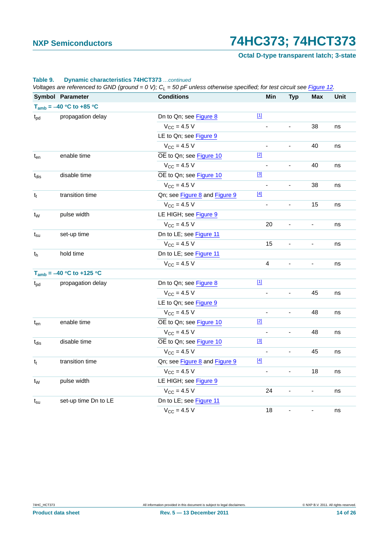**Octal D-type transparent latch; 3-state**

|                             | Voltages are referenced to GND (ground = $0 V$ ); $C_L$ = 50 pF unless otherwise specified; for test circuit see Figure 12. |                               |                          |                          |                              |      |  |
|-----------------------------|-----------------------------------------------------------------------------------------------------------------------------|-------------------------------|--------------------------|--------------------------|------------------------------|------|--|
|                             | Symbol Parameter                                                                                                            | <b>Conditions</b>             | Min                      | <b>Typ</b>               | Max                          | Unit |  |
|                             | $T_{amb} = -40 °C$ to +85 °C                                                                                                |                               |                          |                          |                              |      |  |
| $t_{\text{pd}}$             | propagation delay                                                                                                           | Dn to Qn; see Figure 8        | $[1]$                    |                          |                              |      |  |
|                             |                                                                                                                             | $V_{CC}$ = 4.5 V              | $\blacksquare$           | $\overline{\phantom{0}}$ | 38                           | ns   |  |
|                             |                                                                                                                             | LE to Qn; see Figure 9        |                          |                          |                              |      |  |
|                             |                                                                                                                             | $V_{CC} = 4.5 V$              |                          |                          | 40                           | ns   |  |
| $t_{en}$                    | enable time                                                                                                                 | OE to Qn; see Figure 10       | $[2]$                    |                          |                              |      |  |
|                             |                                                                                                                             | $V_{CC} = 4.5 V$              |                          | $\blacksquare$           | 40                           | ns   |  |
| $t_{dis}$                   | disable time                                                                                                                | OE to Qn; see Figure 10       | $[3]$                    |                          |                              |      |  |
|                             |                                                                                                                             | $V_{CC} = 4.5 V$              |                          |                          | 38                           | ns   |  |
| $t_t$                       | transition time                                                                                                             | Qn; see Figure 8 and Figure 9 | $[4]$                    |                          |                              |      |  |
|                             |                                                                                                                             | $V_{CC} = 4.5 V$              | ÷,                       |                          | 15                           | ns   |  |
| $t_{W}$                     | pulse width                                                                                                                 | LE HIGH; see Figure 9         |                          |                          |                              |      |  |
|                             |                                                                                                                             | $V_{CC}$ = 4.5 V              | 20                       |                          | $\qquad \qquad \blacksquare$ | ns   |  |
| set-up time<br>$t_{\rm su}$ |                                                                                                                             | Dn to LE; see Figure 11       |                          |                          |                              |      |  |
|                             |                                                                                                                             | $V_{CC} = 4.5 V$              | 15                       | $\blacksquare$           | $\blacksquare$               | ns   |  |
| hold time<br>t <sub>h</sub> |                                                                                                                             | Dn to LE; see Figure 11       |                          |                          |                              |      |  |
|                             |                                                                                                                             | $V_{CC} = 4.5 V$              | $\overline{4}$           | $\overline{\phantom{a}}$ | $\blacksquare$               | ns   |  |
|                             | $T_{amb} = -40 °C$ to +125 °C                                                                                               |                               |                          |                          |                              |      |  |
| $t_{\rm pd}$                | propagation delay                                                                                                           | Dn to Qn; see Figure 8        | $[1]$                    |                          |                              |      |  |
|                             |                                                                                                                             | $V_{CC}$ = 4.5 V              |                          | ÷,                       | 45                           | ns   |  |
|                             | LE to Qn; see Figure 9                                                                                                      |                               |                          |                          |                              |      |  |
|                             |                                                                                                                             | $V_{CC} = 4.5 V$              |                          | ÷,                       | 48                           | ns   |  |
| $t_{en}$                    | enable time                                                                                                                 | OE to Qn; see Figure 10       | $[2]$                    |                          |                              |      |  |
|                             |                                                                                                                             | $V_{CC}$ = 4.5 V              | $\overline{\phantom{a}}$ | $\blacksquare$           | 48                           | ns   |  |
| $t_{dis}$                   | disable time                                                                                                                | OE to Qn; see Figure 10       | $[3]$                    |                          |                              |      |  |
|                             |                                                                                                                             | $V_{CC} = 4.5 V$              | $\blacksquare$           | $\blacksquare$           | 45                           | ns   |  |
| $t_t$                       | transition time                                                                                                             | Qn; see Figure 8 and Figure 9 | $[4]$                    |                          |                              |      |  |
|                             |                                                                                                                             | $V_{CC}$ = 4.5 V              | ÷                        | $\overline{\phantom{0}}$ | 18                           | ns   |  |
| $t_{W}$                     | pulse width                                                                                                                 | LE HIGH; see Figure 9         |                          |                          |                              |      |  |
|                             |                                                                                                                             | $V_{CC} = 4.5 V$              | 24                       | $\overline{\phantom{a}}$ | ۰                            | ns   |  |
| $t_{\rm su}$                | set-up time Dn to LE                                                                                                        | Dn to LE; see Figure 11       |                          |                          |                              |      |  |
|                             |                                                                                                                             | $V_{CC} = 4.5 V$              | 18                       | $\blacksquare$           | $\qquad \qquad \blacksquare$ | ns   |  |

#### **Table 9. Dynamic characteristics 74HCT373** *…continued*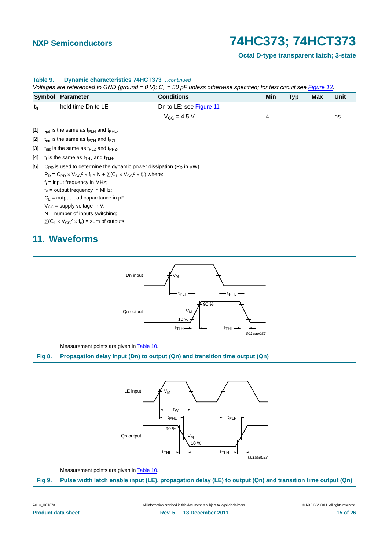### **Octal D-type transparent latch; 3-state**

<span id="page-14-6"></span><span id="page-14-5"></span><span id="page-14-4"></span><span id="page-14-2"></span>

|                   | Symbol Parameter                                                                                    | <b>Conditions</b>       | Min | <b>Typ</b>               | Max                          | Unit |
|-------------------|-----------------------------------------------------------------------------------------------------|-------------------------|-----|--------------------------|------------------------------|------|
| t <sub>h</sub>    | hold time Dn to LE                                                                                  | Dn to LE; see Figure 11 |     |                          |                              |      |
|                   |                                                                                                     | $V_{\rm CC}$ = 4.5 V    | 4   | $\overline{\phantom{a}}$ | $\qquad \qquad \blacksquare$ | ns   |
| $\lceil 1 \rceil$ | $t_{\rm pd}$ is the same as $t_{\rm PLH}$ and $t_{\rm PHL}$ .                                       |                         |     |                          |                              |      |
| [2]               | $t_{en}$ is the same as $t_{PZH}$ and $t_{PZL}$ .                                                   |                         |     |                          |                              |      |
| $[3]$             | $t_{dis}$ is the same as $t_{PLZ}$ and $t_{PHZ}$ .                                                  |                         |     |                          |                              |      |
| [4]               | $t_f$ is the same as $t_{THI}$ and $t_{TI}$ $H$ .                                                   |                         |     |                          |                              |      |
| $[5]$             | $C_{PD}$ is used to determine the dynamic power dissipation ( $P_D$ in $\mu$ W).                    |                         |     |                          |                              |      |
|                   | $P_D = C_{PD} \times V_{CC}^2 \times f_i \times N + \Sigma (C_1 \times V_{CC}^2 \times f_0)$ where: |                         |     |                          |                              |      |
|                   | $f_i$ = input frequency in MHz;                                                                     |                         |     |                          |                              |      |
|                   | $f_0$ = output frequency in MHz;                                                                    |                         |     |                          |                              |      |
|                   | $C_1$ = output load capacitance in pF;                                                              |                         |     |                          |                              |      |
|                   | $V_{CC}$ = supply voltage in V;                                                                     |                         |     |                          |                              |      |
|                   | $N =$ number of inputs switching;                                                                   |                         |     |                          |                              |      |
|                   | $\Sigma$ (C <sub>1</sub> × V <sub>CC</sub> <sup>2</sup> × f <sub>0</sub> ) = sum of outputs.        |                         |     |                          |                              |      |

#### **Table 9. Dynamic characteristics 74HCT373** *…continued*

### <span id="page-14-7"></span><span id="page-14-3"></span>**11. Waveforms**



<span id="page-14-1"></span><span id="page-14-0"></span>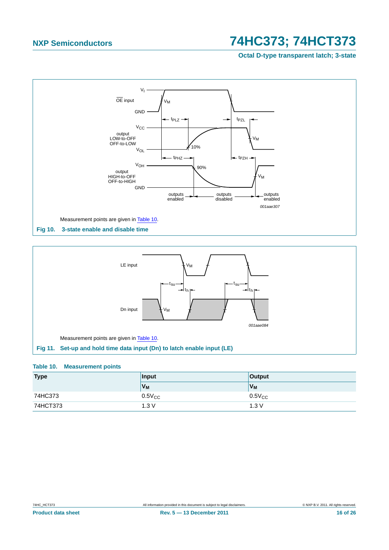**Octal D-type transparent latch; 3-state**



<span id="page-15-0"></span>

### <span id="page-15-2"></span><span id="page-15-1"></span>**Table 10. Measurement points**

| <b>Type</b> | <b>Input</b>        | <b>Output</b>  |
|-------------|---------------------|----------------|
|             | $V_M$               | V <sub>M</sub> |
| 74HC373     | $0.5$ V $_{\rm CC}$ | $0.5V_{CC}$    |
| 74HCT373    | 1.3V                | 1.3V           |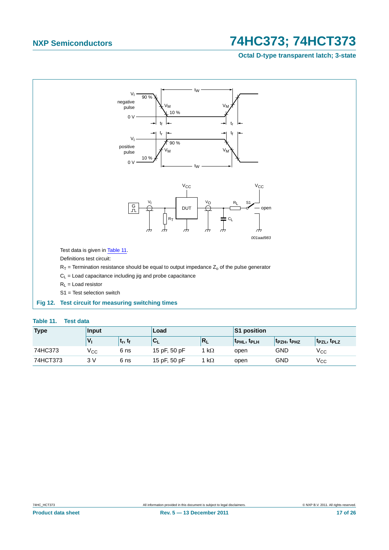### **Octal D-type transparent latch; 3-state**



#### <span id="page-16-1"></span><span id="page-16-0"></span>**Table 11. Test data**

| <b>Type</b> | Input           |                                | Load         |           | S1 position       |                                     |                                     |
|-------------|-----------------|--------------------------------|--------------|-----------|-------------------|-------------------------------------|-------------------------------------|
|             |                 | <sup>լ</sup> ե, է <sub>ք</sub> | ◡∟           | N         | <b>TPHL, TPLH</b> | t <sub>PZH</sub> , t <sub>PHZ</sub> | T <sub>PZL</sub> , T <sub>PLZ</sub> |
| 74HC373     | v <sub>cc</sub> | 6 ns                           | 15 pF, 50 pF | $k\Omega$ | open              | <b>GND</b>                          | $\rm V_{CC}$                        |
| 74HCT373    | 3 V             | 6 ns                           | 15 pF, 50 pF | $k\Omega$ | open              | GND                                 | Vcc                                 |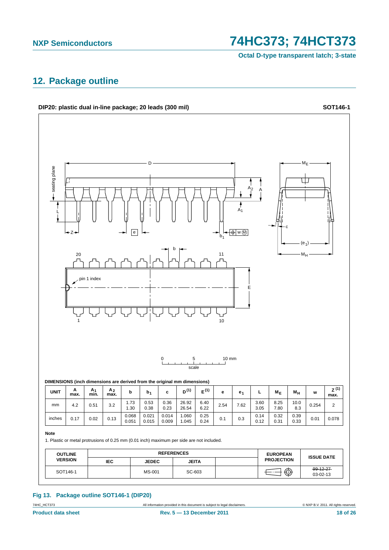**Octal D-type transparent latch; 3-state**

### <span id="page-17-0"></span>**12. Package outline**



### **Fig 13. Package outline SOT146-1 (DIP20)**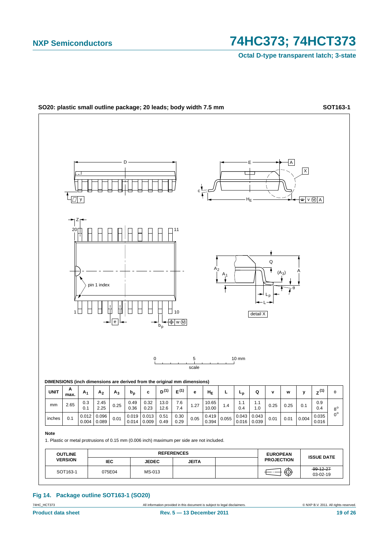**Octal D-type transparent latch; 3-state**



### **Fig 14. Package outline SOT163-1 (SO20)**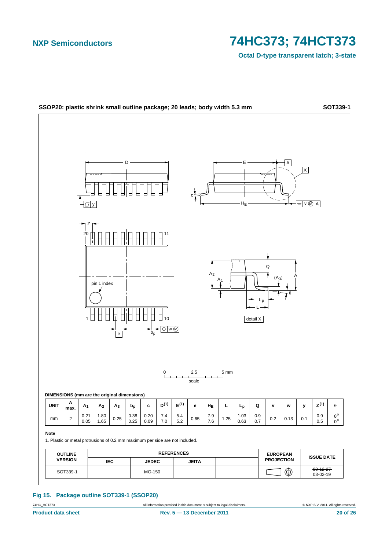**Octal D-type transparent latch; 3-state**



**Fig 15. Package outline SOT339-1 (SSOP20)**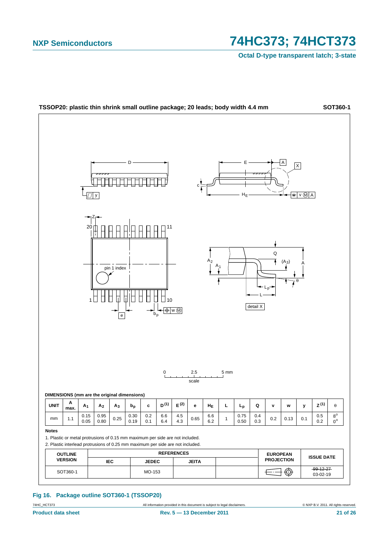**Octal D-type transparent latch; 3-state**



#### **Fig 16. Package outline SOT360-1 (TSSOP20)**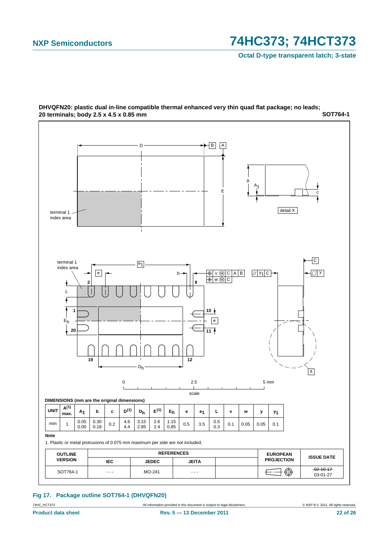**Octal D-type transparent latch; 3-state**



**SOT764-1 DHVQFN20: plastic dual in-line compatible thermal enhanced very thin quad flat package; no leads; 20 terminals; body 2.5 x 4.5 x 0.85 mm**

### **Fig 17. Package outline SOT764-1 (DHVQFN20)**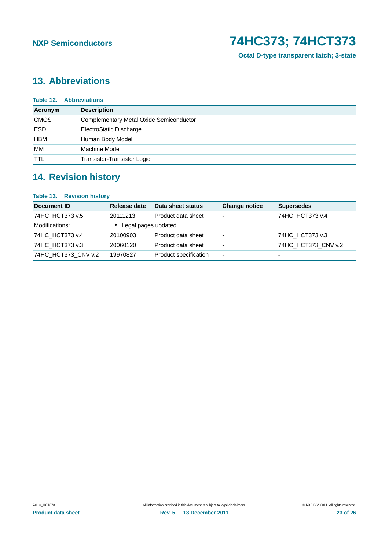**Octal D-type transparent latch; 3-state**

### <span id="page-22-0"></span>**13. Abbreviations**

|             | <b>Table 12. Abbreviations</b>                 |
|-------------|------------------------------------------------|
| Acronym     | <b>Description</b>                             |
| <b>CMOS</b> | <b>Complementary Metal Oxide Semiconductor</b> |
| <b>ESD</b>  | ElectroStatic Discharge                        |
| <b>HBM</b>  | Human Body Model                               |
| МM          | Machine Model                                  |
| <b>TTL</b>  | Transistor-Transistor Logic                    |

### <span id="page-22-1"></span>**14. Revision history**

### **Table 13. Revision history**

| Document ID         | Release date         | Data sheet status     | <b>Change notice</b>     | <b>Supersedes</b>        |
|---------------------|----------------------|-----------------------|--------------------------|--------------------------|
| 74HC HCT373 v.5     | 20111213             | Product data sheet    | ۰                        | 74HC HCT373 v.4          |
| Modifications:      | Legal pages updated. |                       |                          |                          |
| 74HC HCT373 v.4     | 20100903             | Product data sheet    | $\overline{\phantom{0}}$ | 74HC HCT373 v.3          |
| 74HC HCT373 v.3     | 20060120             | Product data sheet    | $\overline{\phantom{0}}$ | 74HC_HCT373_CNV v.2      |
| 74HC HCT373 CNV v.2 | 19970827             | Product specification | $\overline{\phantom{0}}$ | $\overline{\phantom{0}}$ |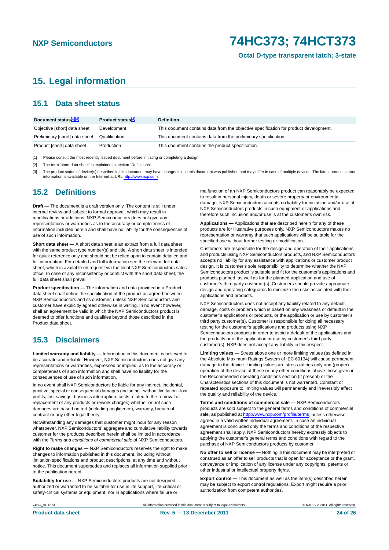**Octal D-type transparent latch; 3-state**

### <span id="page-23-0"></span>**15. Legal information**

### <span id="page-23-1"></span>**15.1 Data sheet status**

| Document status[1][2]          | Product status <sup>[3]</sup> | <b>Definition</b>                                                                     |
|--------------------------------|-------------------------------|---------------------------------------------------------------------------------------|
| Objective [short] data sheet   | Development                   | This document contains data from the objective specification for product development. |
| Preliminary [short] data sheet | Qualification                 | This document contains data from the preliminary specification.                       |
| Product [short] data sheet     | Production                    | This document contains the product specification.                                     |

[1] Please consult the most recently issued document before initiating or completing a design.

[2] The term 'short data sheet' is explained in section "Definitions".

[3] The product status of device(s) described in this document may have changed since this document was published and may differ in case of multiple devices. The latest product status<br>information is available on the Intern

### <span id="page-23-2"></span>**15.2 Definitions**

**Draft —** The document is a draft version only. The content is still under internal review and subject to formal approval, which may result in modifications or additions. NXP Semiconductors does not give any representations or warranties as to the accuracy or completeness of information included herein and shall have no liability for the consequences of use of such information.

**Short data sheet —** A short data sheet is an extract from a full data sheet with the same product type number(s) and title. A short data sheet is intended for quick reference only and should not be relied upon to contain detailed and full information. For detailed and full information see the relevant full data sheet, which is available on request via the local NXP Semiconductors sales office. In case of any inconsistency or conflict with the short data sheet, the full data sheet shall prevail.

**Product specification —** The information and data provided in a Product data sheet shall define the specification of the product as agreed between NXP Semiconductors and its customer, unless NXP Semiconductors and customer have explicitly agreed otherwise in writing. In no event however, shall an agreement be valid in which the NXP Semiconductors product is deemed to offer functions and qualities beyond those described in the Product data sheet.

### <span id="page-23-3"></span>**15.3 Disclaimers**

**Limited warranty and liability —** Information in this document is believed to be accurate and reliable. However, NXP Semiconductors does not give any representations or warranties, expressed or implied, as to the accuracy or completeness of such information and shall have no liability for the consequences of use of such information.

In no event shall NXP Semiconductors be liable for any indirect, incidental, punitive, special or consequential damages (including - without limitation - lost profits, lost savings, business interruption, costs related to the removal or replacement of any products or rework charges) whether or not such damages are based on tort (including negligence), warranty, breach of contract or any other legal theory.

Notwithstanding any damages that customer might incur for any reason whatsoever, NXP Semiconductors' aggregate and cumulative liability towards customer for the products described herein shall be limited in accordance with the *Terms and conditions of commercial sale* of NXP Semiconductors.

**Right to make changes —** NXP Semiconductors reserves the right to make changes to information published in this document, including without limitation specifications and product descriptions, at any time and without notice. This document supersedes and replaces all information supplied prior to the publication hereof.

**Suitability for use —** NXP Semiconductors products are not designed, authorized or warranted to be suitable for use in life support, life-critical or safety-critical systems or equipment, nor in applications where failure or

malfunction of an NXP Semiconductors product can reasonably be expected to result in personal injury, death or severe property or environmental damage. NXP Semiconductors accepts no liability for inclusion and/or use of NXP Semiconductors products in such equipment or applications and therefore such inclusion and/or use is at the customer's own risk.

**Applications —** Applications that are described herein for any of these products are for illustrative purposes only. NXP Semiconductors makes no representation or warranty that such applications will be suitable for the specified use without further testing or modification.

Customers are responsible for the design and operation of their applications and products using NXP Semiconductors products, and NXP Semiconductors accepts no liability for any assistance with applications or customer product design. It is customer's sole responsibility to determine whether the NXP Semiconductors product is suitable and fit for the customer's applications and products planned, as well as for the planned application and use of customer's third party customer(s). Customers should provide appropriate design and operating safeguards to minimize the risks associated with their applications and products.

NXP Semiconductors does not accept any liability related to any default, damage, costs or problem which is based on any weakness or default in the customer's applications or products, or the application or use by customer's third party customer(s). Customer is responsible for doing all necessary testing for the customer's applications and products using NXP Semiconductors products in order to avoid a default of the applications and the products or of the application or use by customer's third party customer(s). NXP does not accept any liability in this respect.

**Limiting values —** Stress above one or more limiting values (as defined in the Absolute Maximum Ratings System of IEC 60134) will cause permanent damage to the device. Limiting values are stress ratings only and (proper) operation of the device at these or any other conditions above those given in the Recommended operating conditions section (if present) or the Characteristics sections of this document is not warranted. Constant or repeated exposure to limiting values will permanently and irreversibly affect the quality and reliability of the device.

**Terms and conditions of commercial sale —** NXP Semiconductors products are sold subject to the general terms and conditions of commercial sale, as published at<http://www.nxp.com/profile/terms>, unless otherwise agreed in a valid written individual agreement. In case an individual agreement is concluded only the terms and conditions of the respective agreement shall apply. NXP Semiconductors hereby expressly objects to applying the customer's general terms and conditions with regard to the purchase of NXP Semiconductors products by customer.

**No offer to sell or license —** Nothing in this document may be interpreted or construed as an offer to sell products that is open for acceptance or the grant, conveyance or implication of any license under any copyrights, patents or other industrial or intellectual property rights.

**Export control —** This document as well as the item(s) described herein may be subject to export control regulations. Export might require a prior authorization from competent authorities.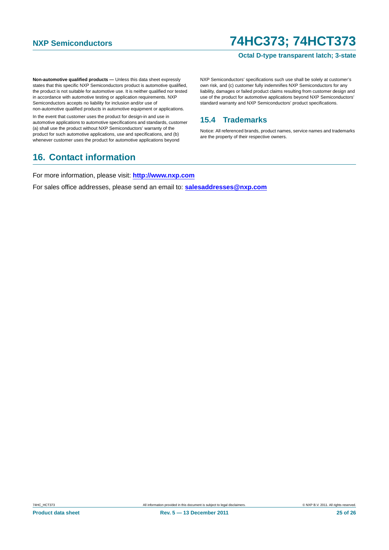#### **Octal D-type transparent latch; 3-state**

**Non-automotive qualified products —** Unless this data sheet expressly states that this specific NXP Semiconductors product is automotive qualified, the product is not suitable for automotive use. It is neither qualified nor tested in accordance with automotive testing or application requirements. NXP Semiconductors accepts no liability for inclusion and/or use of non-automotive qualified products in automotive equipment or applications.

In the event that customer uses the product for design-in and use in automotive applications to automotive specifications and standards, customer (a) shall use the product without NXP Semiconductors' warranty of the product for such automotive applications, use and specifications, and (b) whenever customer uses the product for automotive applications beyond

### <span id="page-24-1"></span>**16. Contact information**

NXP Semiconductors' specifications such use shall be solely at customer's own risk, and (c) customer fully indemnifies NXP Semiconductors for any liability, damages or failed product claims resulting from customer design and use of the product for automotive applications beyond NXP Semiconductors' standard warranty and NXP Semiconductors' product specifications.

### <span id="page-24-0"></span>**15.4 Trademarks**

Notice: All referenced brands, product names, service names and trademarks are the property of their respective owners.

For more information, please visit: **http://www.nxp.com**

For sales office addresses, please send an email to: **salesaddresses@nxp.com**